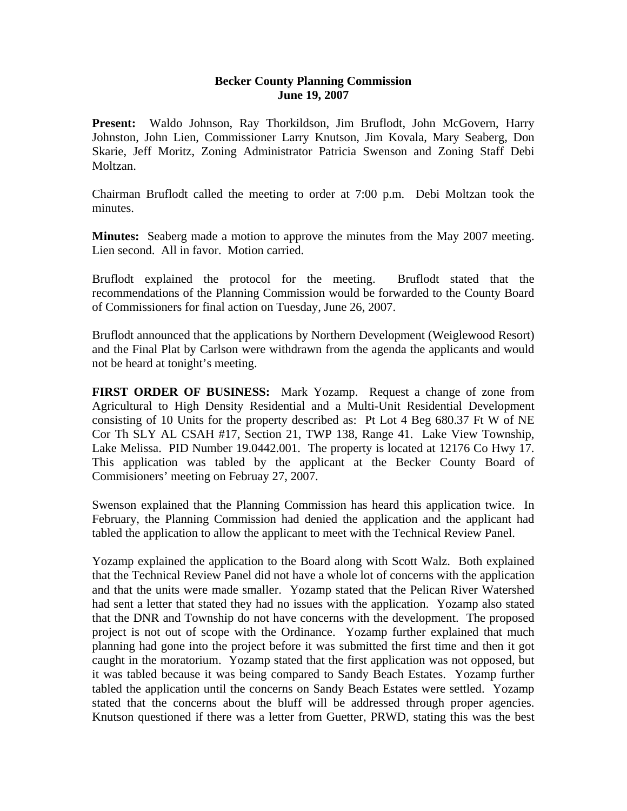## **Becker County Planning Commission June 19, 2007**

Present: Waldo Johnson, Ray Thorkildson, Jim Bruflodt, John McGovern, Harry Johnston, John Lien, Commissioner Larry Knutson, Jim Kovala, Mary Seaberg, Don Skarie, Jeff Moritz, Zoning Administrator Patricia Swenson and Zoning Staff Debi Moltzan.

Chairman Bruflodt called the meeting to order at 7:00 p.m. Debi Moltzan took the minutes.

**Minutes:** Seaberg made a motion to approve the minutes from the May 2007 meeting. Lien second. All in favor. Motion carried.

Bruflodt explained the protocol for the meeting. Bruflodt stated that the recommendations of the Planning Commission would be forwarded to the County Board of Commissioners for final action on Tuesday, June 26, 2007.

Bruflodt announced that the applications by Northern Development (Weiglewood Resort) and the Final Plat by Carlson were withdrawn from the agenda the applicants and would not be heard at tonight's meeting.

**FIRST ORDER OF BUSINESS:** Mark Yozamp. Request a change of zone from Agricultural to High Density Residential and a Multi-Unit Residential Development consisting of 10 Units for the property described as: Pt Lot 4 Beg 680.37 Ft W of NE Cor Th SLY AL CSAH #17, Section 21, TWP 138, Range 41. Lake View Township, Lake Melissa. PID Number 19.0442.001. The property is located at 12176 Co Hwy 17. This application was tabled by the applicant at the Becker County Board of Commisioners' meeting on Februay 27, 2007.

Swenson explained that the Planning Commission has heard this application twice. In February, the Planning Commission had denied the application and the applicant had tabled the application to allow the applicant to meet with the Technical Review Panel.

Yozamp explained the application to the Board along with Scott Walz. Both explained that the Technical Review Panel did not have a whole lot of concerns with the application and that the units were made smaller. Yozamp stated that the Pelican River Watershed had sent a letter that stated they had no issues with the application. Yozamp also stated that the DNR and Township do not have concerns with the development. The proposed project is not out of scope with the Ordinance. Yozamp further explained that much planning had gone into the project before it was submitted the first time and then it got caught in the moratorium. Yozamp stated that the first application was not opposed, but it was tabled because it was being compared to Sandy Beach Estates. Yozamp further tabled the application until the concerns on Sandy Beach Estates were settled. Yozamp stated that the concerns about the bluff will be addressed through proper agencies. Knutson questioned if there was a letter from Guetter, PRWD, stating this was the best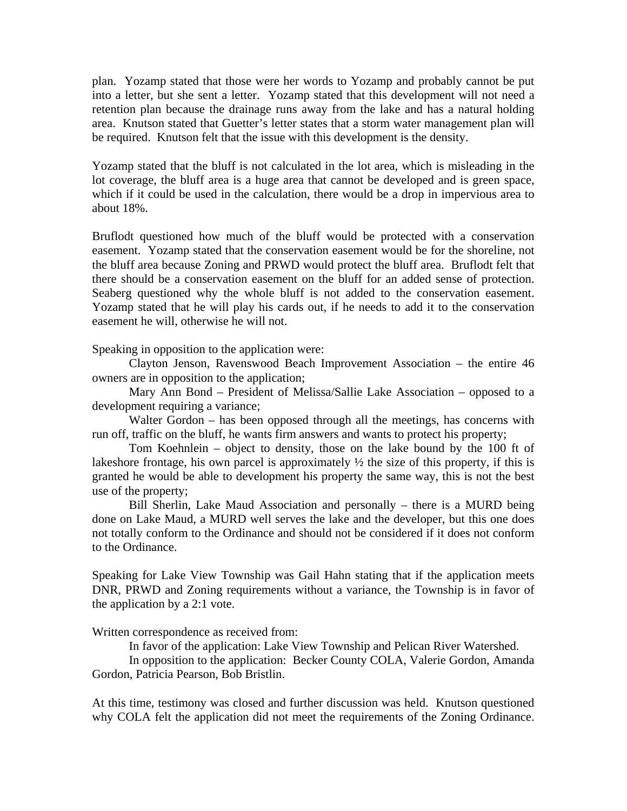plan. Yozamp stated that those were her words to Yozamp and probably cannot be put into a letter, but she sent a letter. Yozamp stated that this development will not need a retention plan because the drainage runs away from the lake and has a natural holding area. Knutson stated that Guetter's letter states that a storm water management plan will be required. Knutson felt that the issue with this development is the density.

Yozamp stated that the bluff is not calculated in the lot area, which is misleading in the lot coverage, the bluff area is a huge area that cannot be developed and is green space, which if it could be used in the calculation, there would be a drop in impervious area to about 18%.

Bruflodt questioned how much of the bluff would be protected with a conservation easement. Yozamp stated that the conservation easement would be for the shoreline, not the bluff area because Zoning and PRWD would protect the bluff area. Bruflodt felt that there should be a conservation easement on the bluff for an added sense of protection. Seaberg questioned why the whole bluff is not added to the conservation easement. Yozamp stated that he will play his cards out, if he needs to add it to the conservation easement he will, otherwise he will not.

Speaking in opposition to the application were:

Clayton Jenson, Ravenswood Beach Improvement Association – the entire 46 owners are in opposition to the application;

Mary Ann Bond – President of Melissa/Sallie Lake Association – opposed to a development requiring a variance;

Walter Gordon – has been opposed through all the meetings, has concerns with run off, traffic on the bluff, he wants firm answers and wants to protect his property;

Tom Koehnlein – object to density, those on the lake bound by the 100 ft of lakeshore frontage, his own parcel is approximately ½ the size of this property, if this is granted he would be able to development his property the same way, this is not the best use of the property;

Bill Sherlin, Lake Maud Association and personally – there is a MURD being done on Lake Maud, a MURD well serves the lake and the developer, but this one does not totally conform to the Ordinance and should not be considered if it does not conform to the Ordinance.

Speaking for Lake View Township was Gail Hahn stating that if the application meets DNR, PRWD and Zoning requirements without a variance, the Township is in favor of the application by a 2:1 vote.

Written correspondence as received from:

In favor of the application: Lake View Township and Pelican River Watershed.

In opposition to the application: Becker County COLA, Valerie Gordon, Amanda Gordon, Patricia Pearson, Bob Bristlin.

At this time, testimony was closed and further discussion was held. Knutson questioned why COLA felt the application did not meet the requirements of the Zoning Ordinance.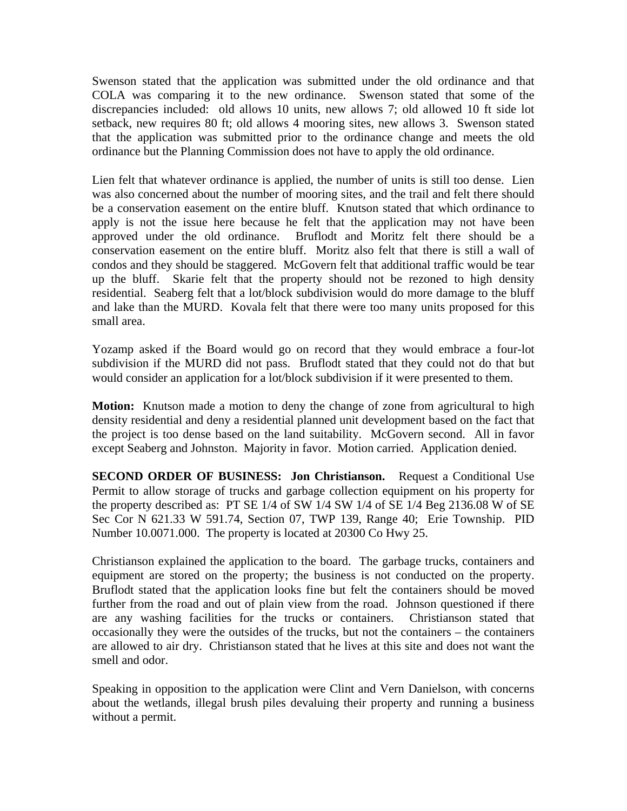Swenson stated that the application was submitted under the old ordinance and that COLA was comparing it to the new ordinance. Swenson stated that some of the discrepancies included: old allows 10 units, new allows 7; old allowed 10 ft side lot setback, new requires 80 ft; old allows 4 mooring sites, new allows 3. Swenson stated that the application was submitted prior to the ordinance change and meets the old ordinance but the Planning Commission does not have to apply the old ordinance.

Lien felt that whatever ordinance is applied, the number of units is still too dense. Lien was also concerned about the number of mooring sites, and the trail and felt there should be a conservation easement on the entire bluff. Knutson stated that which ordinance to apply is not the issue here because he felt that the application may not have been approved under the old ordinance. Bruflodt and Moritz felt there should be a conservation easement on the entire bluff. Moritz also felt that there is still a wall of condos and they should be staggered. McGovern felt that additional traffic would be tear up the bluff. Skarie felt that the property should not be rezoned to high density residential. Seaberg felt that a lot/block subdivision would do more damage to the bluff and lake than the MURD. Kovala felt that there were too many units proposed for this small area.

Yozamp asked if the Board would go on record that they would embrace a four-lot subdivision if the MURD did not pass. Bruflodt stated that they could not do that but would consider an application for a lot/block subdivision if it were presented to them.

**Motion:** Knutson made a motion to deny the change of zone from agricultural to high density residential and deny a residential planned unit development based on the fact that the project is too dense based on the land suitability. McGovern second. All in favor except Seaberg and Johnston. Majority in favor. Motion carried. Application denied.

**SECOND ORDER OF BUSINESS: Jon Christianson.** Request a Conditional Use Permit to allow storage of trucks and garbage collection equipment on his property for the property described as: PT SE 1/4 of SW 1/4 SW 1/4 of SE 1/4 Beg 2136.08 W of SE Sec Cor N 621.33 W 591.74, Section 07, TWP 139, Range 40; Erie Township. PID Number 10.0071.000. The property is located at 20300 Co Hwy 25.

Christianson explained the application to the board. The garbage trucks, containers and equipment are stored on the property; the business is not conducted on the property. Bruflodt stated that the application looks fine but felt the containers should be moved further from the road and out of plain view from the road. Johnson questioned if there are any washing facilities for the trucks or containers. Christianson stated that occasionally they were the outsides of the trucks, but not the containers – the containers are allowed to air dry. Christianson stated that he lives at this site and does not want the smell and odor.

Speaking in opposition to the application were Clint and Vern Danielson, with concerns about the wetlands, illegal brush piles devaluing their property and running a business without a permit.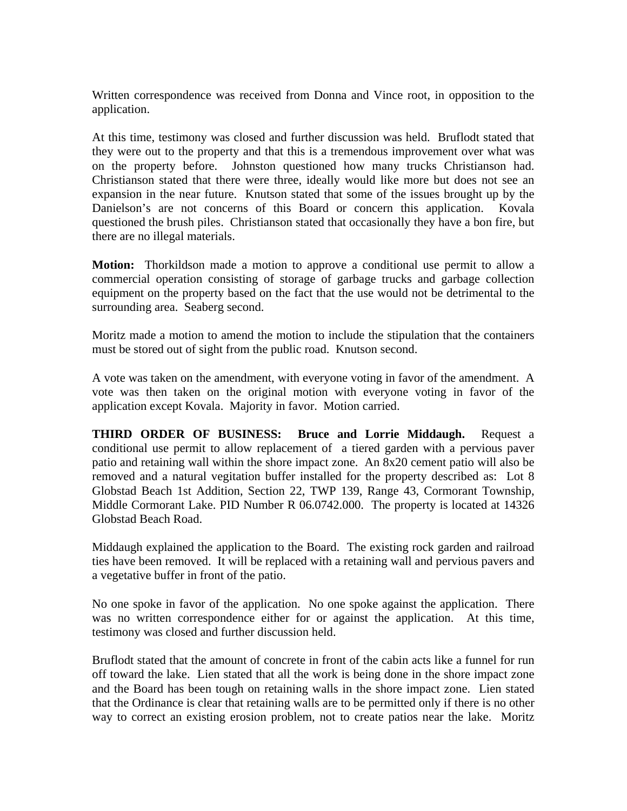Written correspondence was received from Donna and Vince root, in opposition to the application.

At this time, testimony was closed and further discussion was held. Bruflodt stated that they were out to the property and that this is a tremendous improvement over what was on the property before. Johnston questioned how many trucks Christianson had. Christianson stated that there were three, ideally would like more but does not see an expansion in the near future. Knutson stated that some of the issues brought up by the Danielson's are not concerns of this Board or concern this application. Kovala questioned the brush piles. Christianson stated that occasionally they have a bon fire, but there are no illegal materials.

**Motion:** Thorkildson made a motion to approve a conditional use permit to allow a commercial operation consisting of storage of garbage trucks and garbage collection equipment on the property based on the fact that the use would not be detrimental to the surrounding area. Seaberg second.

Moritz made a motion to amend the motion to include the stipulation that the containers must be stored out of sight from the public road. Knutson second.

A vote was taken on the amendment, with everyone voting in favor of the amendment. A vote was then taken on the original motion with everyone voting in favor of the application except Kovala. Majority in favor. Motion carried.

**THIRD ORDER OF BUSINESS: Bruce and Lorrie Middaugh.** Request a conditional use permit to allow replacement of a tiered garden with a pervious paver patio and retaining wall within the shore impact zone. An 8x20 cement patio will also be removed and a natural vegitation buffer installed for the property described as: Lot 8 Globstad Beach 1st Addition, Section 22, TWP 139, Range 43, Cormorant Township, Middle Cormorant Lake. PID Number R 06.0742.000. The property is located at 14326 Globstad Beach Road.

Middaugh explained the application to the Board. The existing rock garden and railroad ties have been removed. It will be replaced with a retaining wall and pervious pavers and a vegetative buffer in front of the patio.

No one spoke in favor of the application. No one spoke against the application. There was no written correspondence either for or against the application. At this time, testimony was closed and further discussion held.

Bruflodt stated that the amount of concrete in front of the cabin acts like a funnel for run off toward the lake. Lien stated that all the work is being done in the shore impact zone and the Board has been tough on retaining walls in the shore impact zone. Lien stated that the Ordinance is clear that retaining walls are to be permitted only if there is no other way to correct an existing erosion problem, not to create patios near the lake. Moritz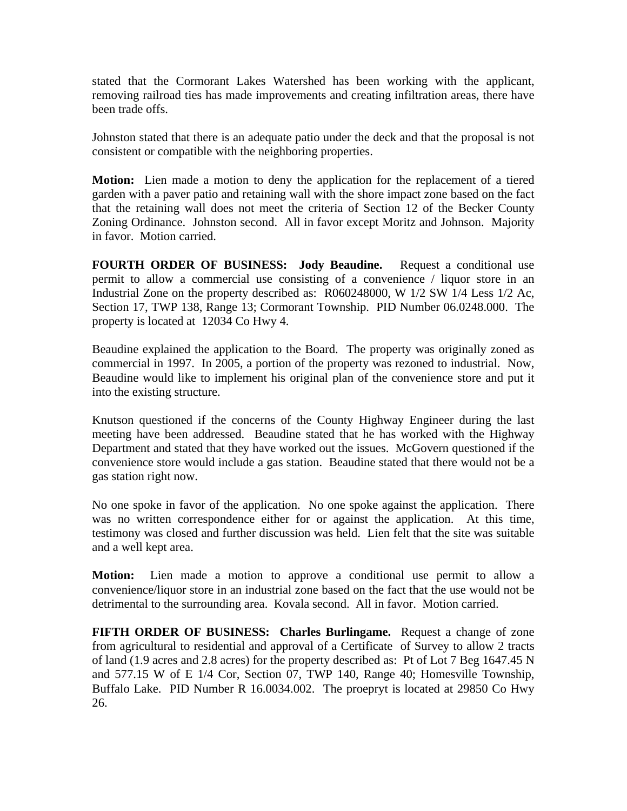stated that the Cormorant Lakes Watershed has been working with the applicant, removing railroad ties has made improvements and creating infiltration areas, there have been trade offs.

Johnston stated that there is an adequate patio under the deck and that the proposal is not consistent or compatible with the neighboring properties.

**Motion:** Lien made a motion to deny the application for the replacement of a tiered garden with a paver patio and retaining wall with the shore impact zone based on the fact that the retaining wall does not meet the criteria of Section 12 of the Becker County Zoning Ordinance. Johnston second. All in favor except Moritz and Johnson. Majority in favor. Motion carried.

**FOURTH ORDER OF BUSINESS: Jody Beaudine.** Request a conditional use permit to allow a commercial use consisting of a convenience / liquor store in an Industrial Zone on the property described as: R060248000, W 1/2 SW 1/4 Less 1/2 Ac, Section 17, TWP 138, Range 13; Cormorant Township. PID Number 06.0248.000. The property is located at 12034 Co Hwy 4.

Beaudine explained the application to the Board. The property was originally zoned as commercial in 1997. In 2005, a portion of the property was rezoned to industrial. Now, Beaudine would like to implement his original plan of the convenience store and put it into the existing structure.

Knutson questioned if the concerns of the County Highway Engineer during the last meeting have been addressed. Beaudine stated that he has worked with the Highway Department and stated that they have worked out the issues. McGovern questioned if the convenience store would include a gas station. Beaudine stated that there would not be a gas station right now.

No one spoke in favor of the application. No one spoke against the application. There was no written correspondence either for or against the application. At this time, testimony was closed and further discussion was held. Lien felt that the site was suitable and a well kept area.

**Motion:** Lien made a motion to approve a conditional use permit to allow a convenience/liquor store in an industrial zone based on the fact that the use would not be detrimental to the surrounding area. Kovala second. All in favor. Motion carried.

**FIFTH ORDER OF BUSINESS: Charles Burlingame.** Request a change of zone from agricultural to residential and approval of a Certificate of Survey to allow 2 tracts of land (1.9 acres and 2.8 acres) for the property described as: Pt of Lot 7 Beg 1647.45 N and 577.15 W of E 1/4 Cor, Section 07, TWP 140, Range 40; Homesville Township, Buffalo Lake. PID Number R 16.0034.002. The proepryt is located at 29850 Co Hwy 26.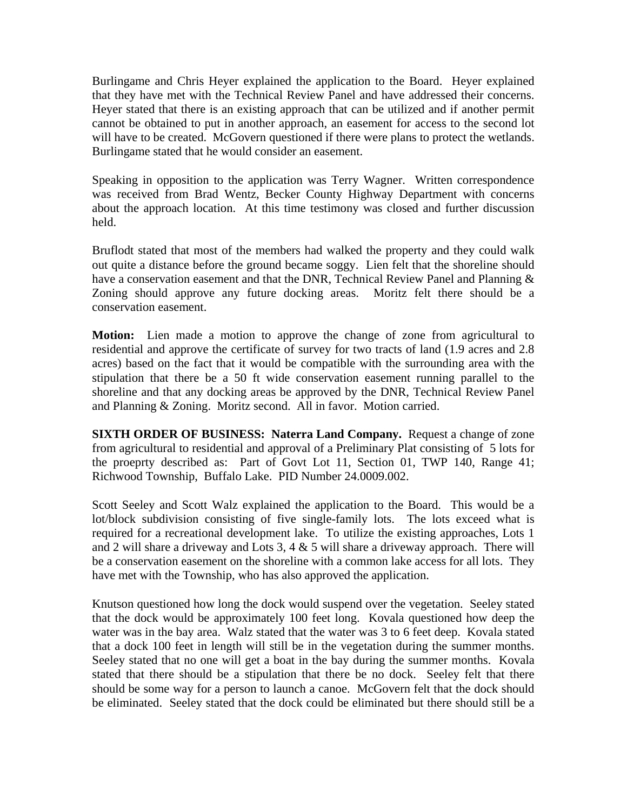Burlingame and Chris Heyer explained the application to the Board. Heyer explained that they have met with the Technical Review Panel and have addressed their concerns. Heyer stated that there is an existing approach that can be utilized and if another permit cannot be obtained to put in another approach, an easement for access to the second lot will have to be created. McGovern questioned if there were plans to protect the wetlands. Burlingame stated that he would consider an easement.

Speaking in opposition to the application was Terry Wagner. Written correspondence was received from Brad Wentz, Becker County Highway Department with concerns about the approach location. At this time testimony was closed and further discussion held.

Bruflodt stated that most of the members had walked the property and they could walk out quite a distance before the ground became soggy. Lien felt that the shoreline should have a conservation easement and that the DNR, Technical Review Panel and Planning  $\&$ Zoning should approve any future docking areas. Moritz felt there should be a conservation easement.

**Motion:** Lien made a motion to approve the change of zone from agricultural to residential and approve the certificate of survey for two tracts of land (1.9 acres and 2.8 acres) based on the fact that it would be compatible with the surrounding area with the stipulation that there be a 50 ft wide conservation easement running parallel to the shoreline and that any docking areas be approved by the DNR, Technical Review Panel and Planning & Zoning. Moritz second. All in favor. Motion carried.

**SIXTH ORDER OF BUSINESS: Naterra Land Company.** Request a change of zone from agricultural to residential and approval of a Preliminary Plat consisting of 5 lots for the proeprty described as: Part of Govt Lot 11, Section 01, TWP 140, Range 41; Richwood Township, Buffalo Lake. PID Number 24.0009.002.

Scott Seeley and Scott Walz explained the application to the Board. This would be a lot/block subdivision consisting of five single-family lots. The lots exceed what is required for a recreational development lake. To utilize the existing approaches, Lots 1 and 2 will share a driveway and Lots 3, 4  $&$  5 will share a driveway approach. There will be a conservation easement on the shoreline with a common lake access for all lots. They have met with the Township, who has also approved the application.

Knutson questioned how long the dock would suspend over the vegetation. Seeley stated that the dock would be approximately 100 feet long. Kovala questioned how deep the water was in the bay area. Walz stated that the water was 3 to 6 feet deep. Kovala stated that a dock 100 feet in length will still be in the vegetation during the summer months. Seeley stated that no one will get a boat in the bay during the summer months. Kovala stated that there should be a stipulation that there be no dock. Seeley felt that there should be some way for a person to launch a canoe. McGovern felt that the dock should be eliminated. Seeley stated that the dock could be eliminated but there should still be a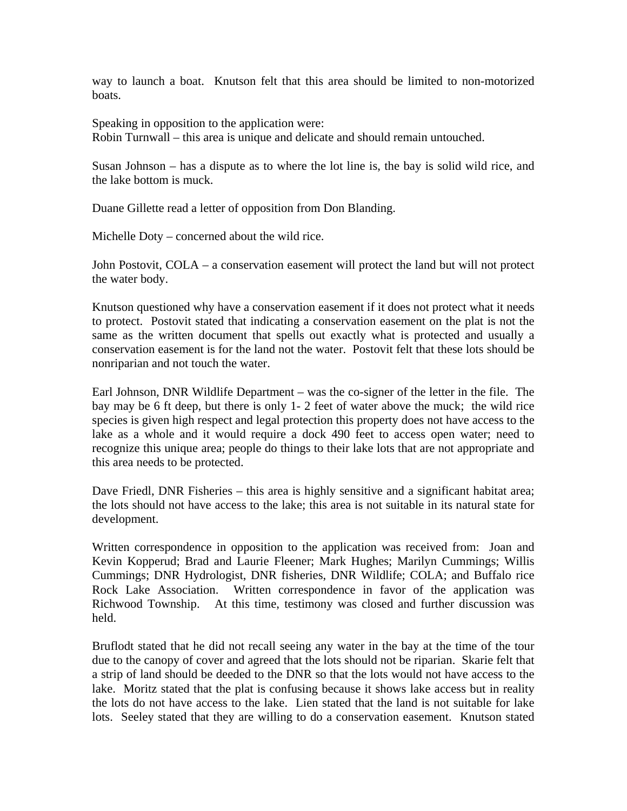way to launch a boat. Knutson felt that this area should be limited to non-motorized boats.

Speaking in opposition to the application were: Robin Turnwall – this area is unique and delicate and should remain untouched.

Susan Johnson – has a dispute as to where the lot line is, the bay is solid wild rice, and the lake bottom is muck.

Duane Gillette read a letter of opposition from Don Blanding.

Michelle Doty – concerned about the wild rice.

John Postovit, COLA – a conservation easement will protect the land but will not protect the water body.

Knutson questioned why have a conservation easement if it does not protect what it needs to protect. Postovit stated that indicating a conservation easement on the plat is not the same as the written document that spells out exactly what is protected and usually a conservation easement is for the land not the water. Postovit felt that these lots should be nonriparian and not touch the water.

Earl Johnson, DNR Wildlife Department – was the co-signer of the letter in the file. The bay may be 6 ft deep, but there is only 1- 2 feet of water above the muck; the wild rice species is given high respect and legal protection this property does not have access to the lake as a whole and it would require a dock 490 feet to access open water; need to recognize this unique area; people do things to their lake lots that are not appropriate and this area needs to be protected.

Dave Friedl, DNR Fisheries – this area is highly sensitive and a significant habitat area; the lots should not have access to the lake; this area is not suitable in its natural state for development.

Written correspondence in opposition to the application was received from: Joan and Kevin Kopperud; Brad and Laurie Fleener; Mark Hughes; Marilyn Cummings; Willis Cummings; DNR Hydrologist, DNR fisheries, DNR Wildlife; COLA; and Buffalo rice Rock Lake Association. Written correspondence in favor of the application was Richwood Township. At this time, testimony was closed and further discussion was held.

Bruflodt stated that he did not recall seeing any water in the bay at the time of the tour due to the canopy of cover and agreed that the lots should not be riparian. Skarie felt that a strip of land should be deeded to the DNR so that the lots would not have access to the lake. Moritz stated that the plat is confusing because it shows lake access but in reality the lots do not have access to the lake. Lien stated that the land is not suitable for lake lots. Seeley stated that they are willing to do a conservation easement. Knutson stated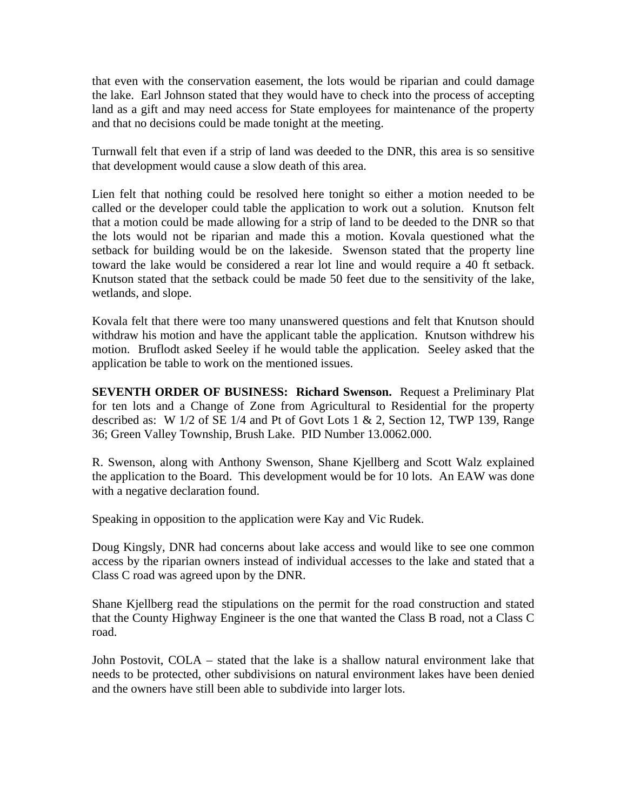that even with the conservation easement, the lots would be riparian and could damage the lake. Earl Johnson stated that they would have to check into the process of accepting land as a gift and may need access for State employees for maintenance of the property and that no decisions could be made tonight at the meeting.

Turnwall felt that even if a strip of land was deeded to the DNR, this area is so sensitive that development would cause a slow death of this area.

Lien felt that nothing could be resolved here tonight so either a motion needed to be called or the developer could table the application to work out a solution. Knutson felt that a motion could be made allowing for a strip of land to be deeded to the DNR so that the lots would not be riparian and made this a motion. Kovala questioned what the setback for building would be on the lakeside. Swenson stated that the property line toward the lake would be considered a rear lot line and would require a 40 ft setback. Knutson stated that the setback could be made 50 feet due to the sensitivity of the lake, wetlands, and slope.

Kovala felt that there were too many unanswered questions and felt that Knutson should withdraw his motion and have the applicant table the application. Knutson withdrew his motion. Bruflodt asked Seeley if he would table the application. Seeley asked that the application be table to work on the mentioned issues.

**SEVENTH ORDER OF BUSINESS: Richard Swenson.** Request a Preliminary Plat for ten lots and a Change of Zone from Agricultural to Residential for the property described as: W 1/2 of SE 1/4 and Pt of Govt Lots 1 & 2, Section 12, TWP 139, Range 36; Green Valley Township, Brush Lake. PID Number 13.0062.000.

R. Swenson, along with Anthony Swenson, Shane Kjellberg and Scott Walz explained the application to the Board. This development would be for 10 lots. An EAW was done with a negative declaration found.

Speaking in opposition to the application were Kay and Vic Rudek.

Doug Kingsly, DNR had concerns about lake access and would like to see one common access by the riparian owners instead of individual accesses to the lake and stated that a Class C road was agreed upon by the DNR.

Shane Kjellberg read the stipulations on the permit for the road construction and stated that the County Highway Engineer is the one that wanted the Class B road, not a Class C road.

John Postovit, COLA – stated that the lake is a shallow natural environment lake that needs to be protected, other subdivisions on natural environment lakes have been denied and the owners have still been able to subdivide into larger lots.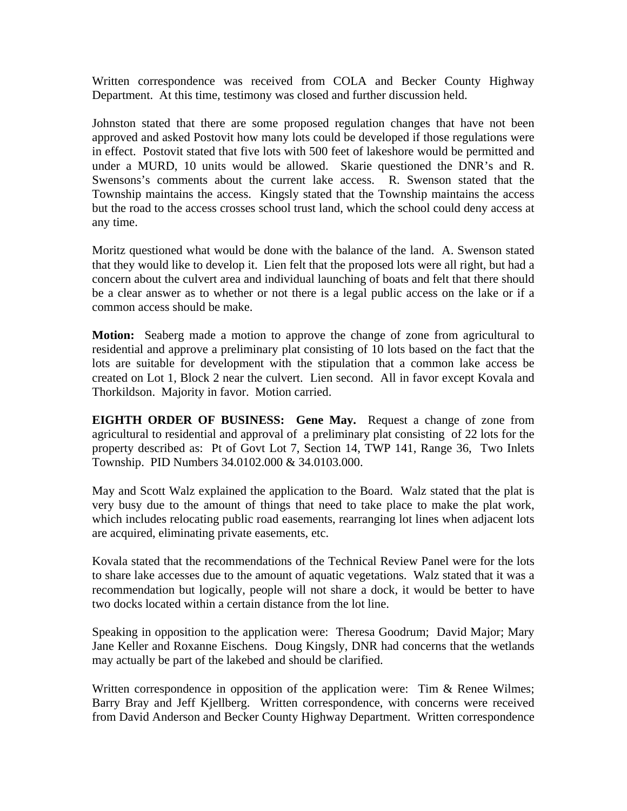Written correspondence was received from COLA and Becker County Highway Department. At this time, testimony was closed and further discussion held.

Johnston stated that there are some proposed regulation changes that have not been approved and asked Postovit how many lots could be developed if those regulations were in effect. Postovit stated that five lots with 500 feet of lakeshore would be permitted and under a MURD, 10 units would be allowed. Skarie questioned the DNR's and R. Swensons's comments about the current lake access. R. Swenson stated that the Township maintains the access. Kingsly stated that the Township maintains the access but the road to the access crosses school trust land, which the school could deny access at any time.

Moritz questioned what would be done with the balance of the land. A. Swenson stated that they would like to develop it. Lien felt that the proposed lots were all right, but had a concern about the culvert area and individual launching of boats and felt that there should be a clear answer as to whether or not there is a legal public access on the lake or if a common access should be make.

**Motion:** Seaberg made a motion to approve the change of zone from agricultural to residential and approve a preliminary plat consisting of 10 lots based on the fact that the lots are suitable for development with the stipulation that a common lake access be created on Lot 1, Block 2 near the culvert. Lien second. All in favor except Kovala and Thorkildson. Majority in favor. Motion carried.

**EIGHTH ORDER OF BUSINESS: Gene May.** Request a change of zone from agricultural to residential and approval of a preliminary plat consisting of 22 lots for the property described as: Pt of Govt Lot 7, Section 14, TWP 141, Range 36, Two Inlets Township. PID Numbers 34.0102.000 & 34.0103.000.

May and Scott Walz explained the application to the Board. Walz stated that the plat is very busy due to the amount of things that need to take place to make the plat work, which includes relocating public road easements, rearranging lot lines when adjacent lots are acquired, eliminating private easements, etc.

Kovala stated that the recommendations of the Technical Review Panel were for the lots to share lake accesses due to the amount of aquatic vegetations. Walz stated that it was a recommendation but logically, people will not share a dock, it would be better to have two docks located within a certain distance from the lot line.

Speaking in opposition to the application were: Theresa Goodrum; David Major; Mary Jane Keller and Roxanne Eischens. Doug Kingsly, DNR had concerns that the wetlands may actually be part of the lakebed and should be clarified.

Written correspondence in opposition of the application were: Tim & Renee Wilmes; Barry Bray and Jeff Kjellberg. Written correspondence, with concerns were received from David Anderson and Becker County Highway Department. Written correspondence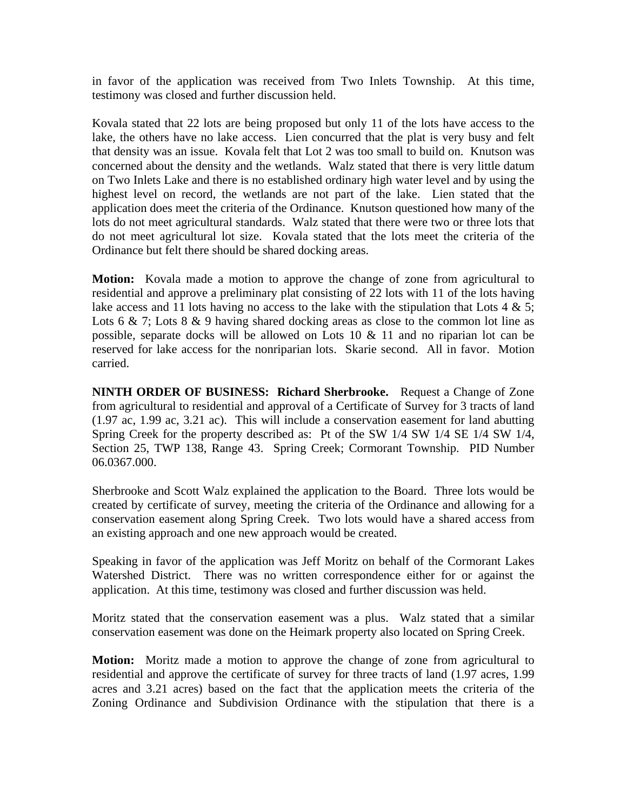in favor of the application was received from Two Inlets Township. At this time, testimony was closed and further discussion held.

Kovala stated that 22 lots are being proposed but only 11 of the lots have access to the lake, the others have no lake access. Lien concurred that the plat is very busy and felt that density was an issue. Kovala felt that Lot 2 was too small to build on. Knutson was concerned about the density and the wetlands. Walz stated that there is very little datum on Two Inlets Lake and there is no established ordinary high water level and by using the highest level on record, the wetlands are not part of the lake. Lien stated that the application does meet the criteria of the Ordinance. Knutson questioned how many of the lots do not meet agricultural standards. Walz stated that there were two or three lots that do not meet agricultural lot size. Kovala stated that the lots meet the criteria of the Ordinance but felt there should be shared docking areas.

**Motion:** Kovala made a motion to approve the change of zone from agricultural to residential and approve a preliminary plat consisting of 22 lots with 11 of the lots having lake access and 11 lots having no access to the lake with the stipulation that Lots  $4 \& 5$ ; Lots  $6 \& 7$ ; Lots  $8 \& 9$  having shared docking areas as close to the common lot line as possible, separate docks will be allowed on Lots 10 & 11 and no riparian lot can be reserved for lake access for the nonriparian lots. Skarie second. All in favor. Motion carried.

**NINTH ORDER OF BUSINESS: Richard Sherbrooke.** Request a Change of Zone from agricultural to residential and approval of a Certificate of Survey for 3 tracts of land (1.97 ac, 1.99 ac, 3.21 ac). This will include a conservation easement for land abutting Spring Creek for the property described as: Pt of the SW 1/4 SW 1/4 SE 1/4 SW 1/4, Section 25, TWP 138, Range 43. Spring Creek; Cormorant Township. PID Number 06.0367.000.

Sherbrooke and Scott Walz explained the application to the Board. Three lots would be created by certificate of survey, meeting the criteria of the Ordinance and allowing for a conservation easement along Spring Creek. Two lots would have a shared access from an existing approach and one new approach would be created.

Speaking in favor of the application was Jeff Moritz on behalf of the Cormorant Lakes Watershed District. There was no written correspondence either for or against the application. At this time, testimony was closed and further discussion was held.

Moritz stated that the conservation easement was a plus. Walz stated that a similar conservation easement was done on the Heimark property also located on Spring Creek.

**Motion:** Moritz made a motion to approve the change of zone from agricultural to residential and approve the certificate of survey for three tracts of land (1.97 acres, 1.99 acres and 3.21 acres) based on the fact that the application meets the criteria of the Zoning Ordinance and Subdivision Ordinance with the stipulation that there is a